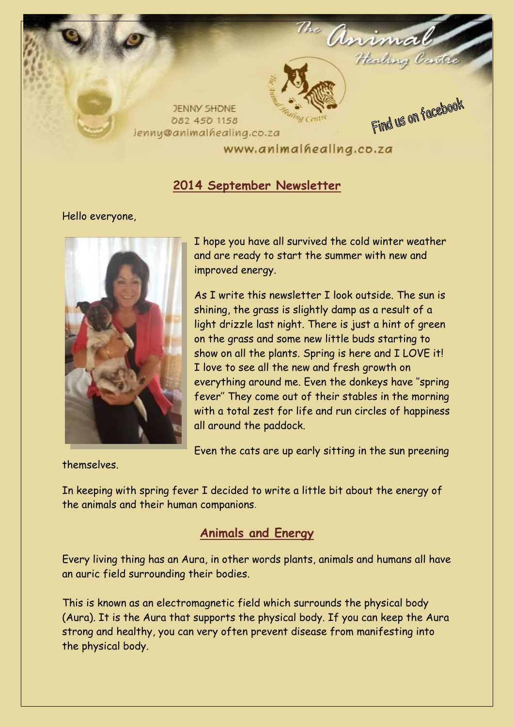

### **2014 September Newsletter**

#### Hello everyone,



I hope you have all survived the cold winter weather and are ready to start the summer with new and improved energy.

As I write this newsletter I look outside. The sun is shining, the grass is slightly damp as a result of a light drizzle last night. There is just a hint of green on the grass and some new little buds starting to show on all the plants. Spring is here and I LOVE it! I love to see all the new and fresh growth on everything around me. Even the donkeys have ''spring fever'' They come out of their stables in the morning with a total zest for life and run circles of happiness all around the paddock.

Even the cats are up early sitting in the sun preening

themselves.

In keeping with spring fever I decided to write a little bit about the energy of the animals and their human companions.

# **Animals and Energy**

Every living thing has an Aura, in other words plants, animals and humans all have an auric field surrounding their bodies.

This is known as an electromagnetic field which surrounds the physical body (Aura). It is the Aura that supports the physical body. If you can keep the Aura strong and healthy, you can very often prevent disease from manifesting into the physical body.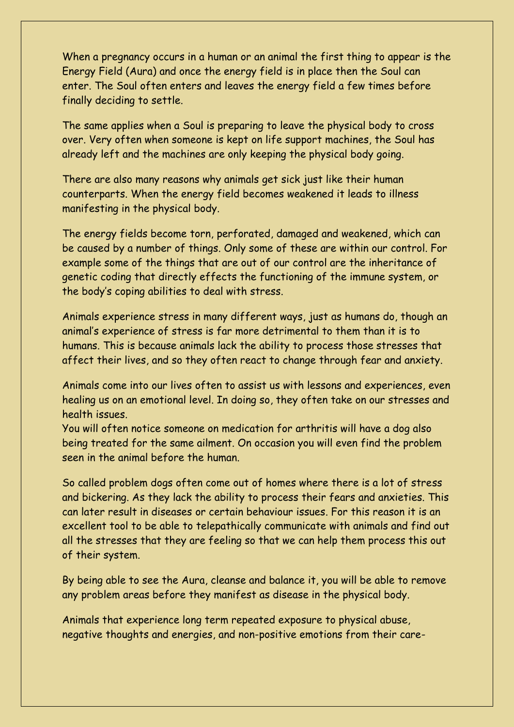When a pregnancy occurs in a human or an animal the first thing to appear is the Energy Field (Aura) and once the energy field is in place then the Soul can enter. The Soul often enters and leaves the energy field a few times before finally deciding to settle.

The same applies when a Soul is preparing to leave the physical body to cross over. Very often when someone is kept on life support machines, the Soul has already left and the machines are only keeping the physical body going.

There are also many reasons why animals get sick just like their human counterparts. When the energy field becomes weakened it leads to illness manifesting in the physical body.

The energy fields become torn, perforated, damaged and weakened, which can be caused by a number of things. Only some of these are within our control. For example some of the things that are out of our control are the inheritance of genetic coding that directly effects the functioning of the immune system, or the body's coping abilities to deal with stress.

Animals experience stress in many different ways, just as humans do, though an animal's experience of stress is far more detrimental to them than it is to humans. This is because animals lack the ability to process those stresses that affect their lives, and so they often react to change through fear and anxiety.

Animals come into our lives often to assist us with lessons and experiences, even healing us on an emotional level. In doing so, they often take on our stresses and health issues.

You will often notice someone on medication for arthritis will have a dog also being treated for the same ailment. On occasion you will even find the problem seen in the animal before the human.

So called problem dogs often come out of homes where there is a lot of stress and bickering. As they lack the ability to process their fears and anxieties. This can later result in diseases or certain behaviour issues. For this reason it is an excellent tool to be able to telepathically communicate with animals and find out all the stresses that they are feeling so that we can help them process this out of their system.

By being able to see the Aura, cleanse and balance it, you will be able to remove any problem areas before they manifest as disease in the physical body.

Animals that experience long term repeated exposure to physical abuse, negative thoughts and energies, and non-positive emotions from their care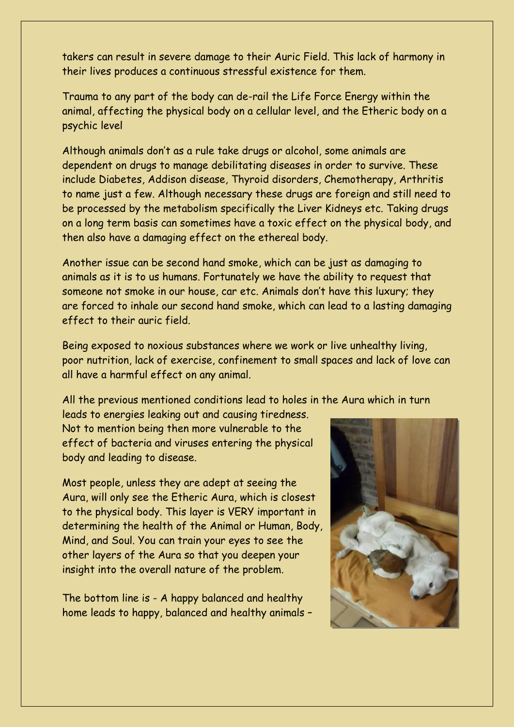takers can result in severe damage to their Auric Field. This lack of harmony in their lives produces a continuous stressful existence for them.

Trauma to any part of the body can de-rail the Life Force Energy within the animal, affecting the physical body on a cellular level, and the Etheric body on a psychic level

Although animals don't as a rule take drugs or alcohol, some animals are dependent on drugs to manage debilitating diseases in order to survive. These include Diabetes, Addison disease, Thyroid disorders, Chemotherapy, Arthritis to name just a few. Although necessary these drugs are foreign and still need to be processed by the metabolism specifically the Liver Kidneys etc. Taking drugs on a long term basis can sometimes have a toxic effect on the physical body, and then also have a damaging effect on the ethereal body.

Another issue can be second hand smoke, which can be just as damaging to animals as it is to us humans. Fortunately we have the ability to request that someone not smoke in our house, car etc. Animals don't have this luxury; they are forced to inhale our second hand smoke, which can lead to a lasting damaging effect to their auric field.

Being exposed to noxious substances where we work or live unhealthy living, poor nutrition, lack of exercise, confinement to small spaces and lack of love can all have a harmful effect on any animal.

All the previous mentioned conditions lead to holes in the Aura which in turn

leads to energies leaking out and causing tiredness. Not to mention being then more vulnerable to the effect of bacteria and viruses entering the physical body and leading to disease.

Most people, unless they are adept at seeing the Aura, will only see the Etheric Aura, which is closest to the physical body. This layer is VERY important in determining the health of the Animal or Human, Body, Mind, and Soul. You can train your eyes to see the other layers of the Aura so that you deepen your insight into the overall nature of the problem.

The bottom line is - A happy balanced and healthy home leads to happy, balanced and healthy animals –

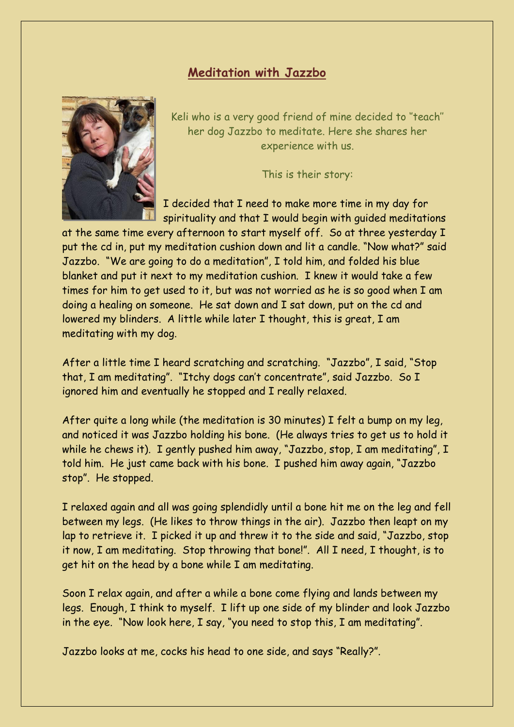#### **Meditation with Jazzbo**



Keli who is a very good friend of mine decided to ''teach'' her dog Jazzbo to meditate. Here she shares her experience with us.

This is their story:

I decided that I need to make more time in my day for spirituality and that I would begin with guided meditations

at the same time every afternoon to start myself off. So at three yesterday I put the cd in, put my meditation cushion down and lit a candle. "Now what?" said Jazzbo. "We are going to do a meditation", I told him, and folded his blue blanket and put it next to my meditation cushion. I knew it would take a few times for him to get used to it, but was not worried as he is so good when I am doing a healing on someone. He sat down and I sat down, put on the cd and lowered my blinders. A little while later I thought, this is great, I am meditating with my dog.

After a little time I heard scratching and scratching. "Jazzbo", I said, "Stop that, I am meditating". "Itchy dogs can't concentrate", said Jazzbo. So I ignored him and eventually he stopped and I really relaxed.

After quite a long while (the meditation is 30 minutes) I felt a bump on my leg, and noticed it was Jazzbo holding his bone. (He always tries to get us to hold it while he chews it). I gently pushed him away, "Jazzbo, stop, I am meditating", I told him. He just came back with his bone. I pushed him away again, "Jazzbo stop". He stopped.

I relaxed again and all was going splendidly until a bone hit me on the leg and fell between my legs. (He likes to throw things in the air). Jazzbo then leapt on my lap to retrieve it. I picked it up and threw it to the side and said, "Jazzbo, stop it now, I am meditating. Stop throwing that bone!". All I need, I thought, is to get hit on the head by a bone while I am meditating.

Soon I relax again, and after a while a bone come flying and lands between my legs. Enough, I think to myself. I lift up one side of my blinder and look Jazzbo in the eye. "Now look here, I say, "you need to stop this, I am meditating".

Jazzbo looks at me, cocks his head to one side, and says "Really?".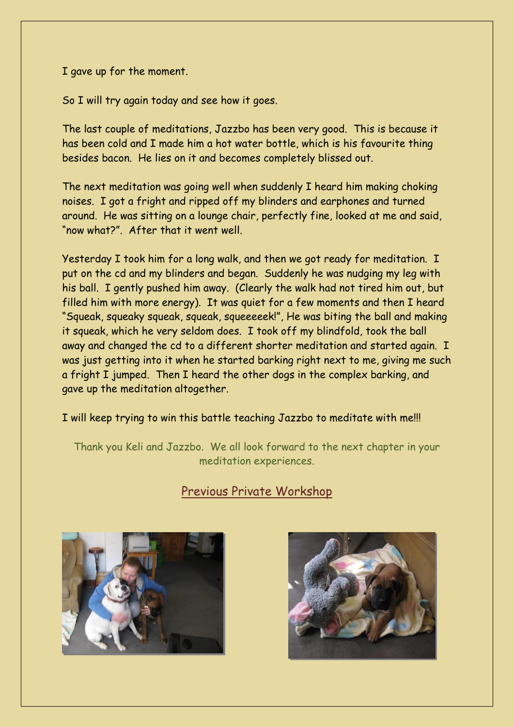I gave up for the moment.

So I will try again today and see how it goes.

The last couple of meditations, Jazzbo has been very good. This is because it has been cold and I made him a hot water bottle, which is his favourite thing besides bacon. He lies on it and becomes completely blissed out.

The next meditation was going well when suddenly I heard him making choking noises. I got a fright and ripped off my blinders and earphones and turned around. He was sitting on a lounge chair, perfectly fine, looked at me and said, "now what?". After that it went well.

Yesterday I took him for a long walk, and then we got ready for meditation. I put on the cd and my blinders and began. Suddenly he was nudging my leg with his ball. I gently pushed him away. (Clearly the walk had not tired him out, but filled him with more energy). It was quiet for a few moments and then I heard "Squeak, squeaky squeak, squeak, squeeeeek!", He was biting the ball and making it squeak, which he very seldom does. I took off my blindfold, took the ball away and changed the cd to a different shorter meditation and started again. I was just getting into it when he started barking right next to me, giving me such a fright I jumped. Then I heard the other dogs in the complex barking, and gave up the meditation altogether.

I will keep trying to win this battle teaching Jazzbo to meditate with me!!!

Thank you Keli and Jazzbo. We all look forward to the next chapter in your meditation experiences.

# Previous Private Workshop



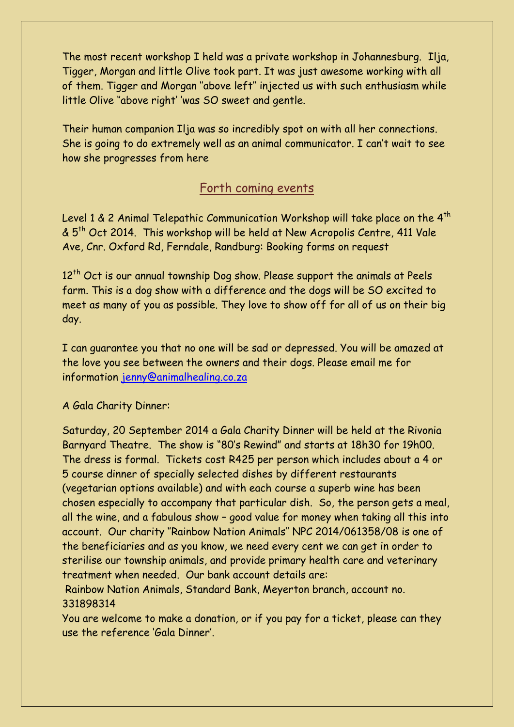The most recent workshop I held was a private workshop in Johannesburg. Ilja, Tigger, Morgan and little Olive took part. It was just awesome working with all of them. Tigger and Morgan ''above left'' injected us with such enthusiasm while little Olive ''above right' 'was SO sweet and gentle.

Their human companion Ilja was so incredibly spot on with all her connections. She is going to do extremely well as an animal communicator. I can't wait to see how she progresses from here

### Forth coming events

Level 1 & 2 Animal Telepathic Communication Workshop will take place on the  $4<sup>th</sup>$ & 5th Oct 2014. This workshop will be held at New Acropolis Centre, 411 Vale Ave, Cnr. Oxford Rd, Ferndale, Randburg: Booking forms on request

12<sup>th</sup> Oct is our annual township Dog show. Please support the animals at Peels farm. This is a dog show with a difference and the dogs will be SO excited to meet as many of you as possible. They love to show off for all of us on their big day.

I can guarantee you that no one will be sad or depressed. You will be amazed at the love you see between the owners and their dogs. Please email me for information [jenny@animalhealing.co.za](mailto:jenny@animalhealing.co.za)

A Gala Charity Dinner:

Saturday, 20 September 2014 a Gala Charity Dinner will be held at the Rivonia Barnyard Theatre. The show is "80's Rewind" and starts at 18h30 for 19h00. The dress is formal. Tickets cost R425 per person which includes about a 4 or 5 course dinner of specially selected dishes by different restaurants (vegetarian options available) and with each course a superb wine has been chosen especially to accompany that particular dish. So, the person gets a meal, all the wine, and a fabulous show – good value for money when taking all this into account. Our charity ''Rainbow Nation Animals'' NPC 2014/061358/08 is one of the beneficiaries and as you know, we need every cent we can get in order to sterilise our township animals, and provide primary health care and veterinary treatment when needed. Our bank account details are:

Rainbow Nation Animals, Standard Bank, Meyerton branch, account no. 331898314

You are welcome to make a donation, or if you pay for a ticket, please can they use the reference 'Gala Dinner'.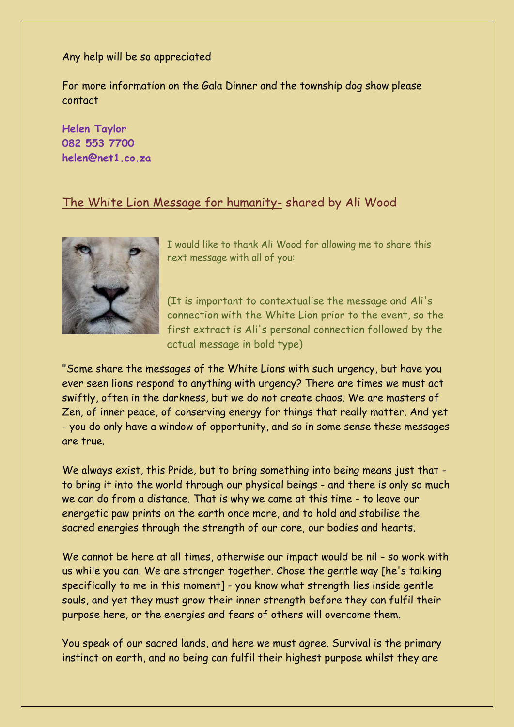Any help will be so appreciated

For more information on the Gala Dinner and the township dog show please contact

**Helen Taylor 082 553 7700 helen@net1.co.za**

#### The White Lion Message for humanity- shared by Ali Wood



I would like to thank Ali Wood for allowing me to share this next message with all of you:

(It is important to contextualise the message and Ali's connection with the White Lion prior to the event, so the first extract is Ali's personal connection followed by the actual message in bold type)

"Some share the messages of the White Lions with such urgency, but have you ever seen lions respond to anything with urgency? There are times we must act swiftly, often in the darkness, but we do not create chaos. We are masters of Zen, of inner peace, of conserving energy for things that really matter. And yet - you do only have a window of opportunity, and so in some sense these messages are true.

We always exist, this Pride, but to bring something into being means just that to bring it into the world through our physical beings - and there is only so much we can do from a distance. That is why we came at this time - to leave our energetic paw prints on the earth once more, and to hold and stabilise the sacred energies through the strength of our core, our bodies and hearts.

We cannot be here at all times, otherwise our impact would be nil - so work with us while you can. We are stronger together. Chose the gentle way [he's talking specifically to me in this moment] - you know what strength lies inside gentle souls, and yet they must grow their inner strength before they can fulfil their purpose here, or the energies and fears of others will overcome them.

You speak of our sacred lands, and here we must agree. Survival is the primary instinct on earth, and no being can fulfil their highest purpose whilst they are